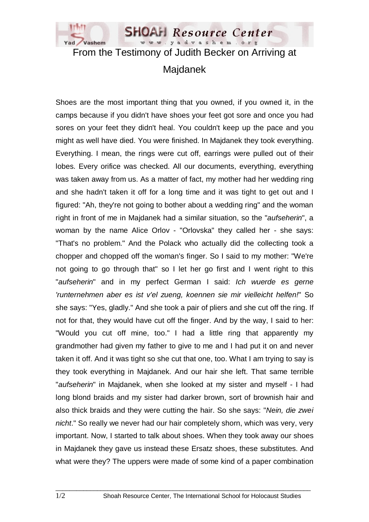

From the Testimony of Judith Becker on Arriving at

## Majdanek

Shoes are the most important thing that you owned, if you owned it, in the camps because if you didn't have shoes your feet got sore and once you had sores on your feet they didn't heal. You couldn't keep up the pace and you might as well have died. You were finished. In Majdanek they took everything. Everything. I mean, the rings were cut off, earrings were pulled out of their lobes. Every orifice was checked. All our documents, everything, everything was taken away from us. As a matter of fact, my mother had her wedding ring and she hadn't taken it off for a long time and it was tight to get out and I figured: "Ah, they're not going to bother about a wedding ring" and the woman right in front of me in Majdanek had a similar situation, so the "*aufseherin*", a woman by the name Alice Orlov - "Orlovska" they called her - she says: "That's no problem." And the Polack who actually did the collecting took a chopper and chopped off the woman's finger. So I said to my mother: "We're not going to go through that" so I let her go first and I went right to this "*aufseherin*" and in my perfect German I said: *Ich wuerde es gerne 'runternehmen aber es ist v'el zueng, koennen sie mir vielleicht helfen!*" So she says: "Yes, gladly." And she took a pair of pliers and she cut off the ring. If not for that, they would have cut off the finger. And by the way, I said to her: "Would you cut off mine, too." I had a little ring that apparently my grandmother had given my father to give to me and I had put it on and never taken it off. And it was tight so she cut that one, too. What I am trying to say is they took everything in Majdanek. And our hair she left. That same terrible "*aufseherin*" in Majdanek, when she looked at my sister and myself - I had long blond braids and my sister had darker brown, sort of brownish hair and also thick braids and they were cutting the hair. So she says: "*Nein, die zwei nicht*." So really we never had our hair completely shorn, which was very, very important. Now, I started to talk about shoes. When they took away our shoes in Majdanek they gave us instead these Ersatz shoes, these substitutes. And what were they? The uppers were made of some kind of a paper combination

 $\_$  ,  $\_$  ,  $\_$  ,  $\_$  ,  $\_$  ,  $\_$  ,  $\_$  ,  $\_$  ,  $\_$  ,  $\_$  ,  $\_$  ,  $\_$  ,  $\_$  ,  $\_$  ,  $\_$  ,  $\_$  ,  $\_$  ,  $\_$  ,  $\_$